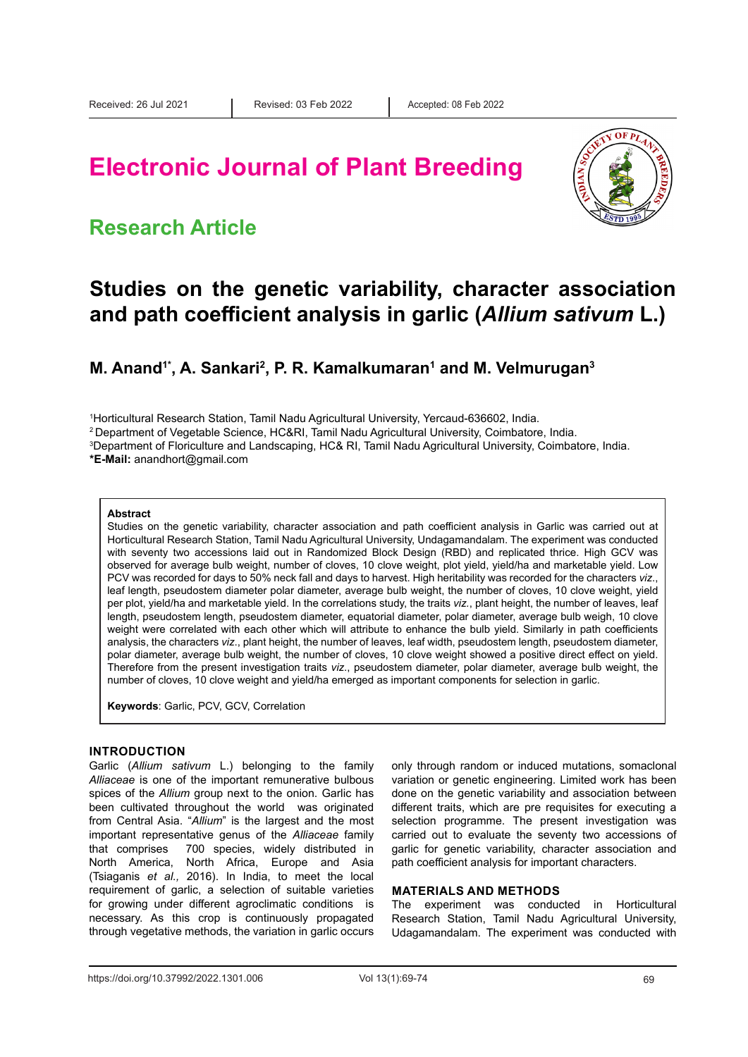# **Electronic Journal of Plant Breeding**

### **Research Article**



### **Studies on the genetic variability, character association and path coefficient analysis in garlic (***Allium sativum* **L.)**

M. Anand<sup>1\*</sup>, A. Sankari<sup>2</sup>, P. R. Kamalkumaran<sup>1</sup> and M. Velmurugan<sup>3</sup>

1 Horticultural Research Station, Tamil Nadu Agricultural University, Yercaud-636602, India.

2 Department of Vegetable Science, HC&RI, Tamil Nadu Agricultural University, Coimbatore, India.

3 Department of Floriculture and Landscaping, HC& RI, Tamil Nadu Agricultural University, Coimbatore, India.

**\*E-Mail:** anandhort@gmail.com

#### **Abstract**

Studies on the genetic variability, character association and path coefficient analysis in Garlic was carried out at Horticultural Research Station, Tamil Nadu Agricultural University, Undagamandalam. The experiment was conducted with seventy two accessions laid out in Randomized Block Design (RBD) and replicated thrice. High GCV was observed for average bulb weight, number of cloves, 10 clove weight, plot yield, yield/ha and marketable yield. Low PCV was recorded for days to 50% neck fall and days to harvest. High heritability was recorded for the characters *viz*., leaf length, pseudostem diameter polar diameter, average bulb weight, the number of cloves, 10 clove weight, yield per plot, yield/ha and marketable yield. In the correlations study, the traits *viz.*, plant height, the number of leaves, leaf length, pseudostem length, pseudostem diameter, equatorial diameter, polar diameter, average bulb weigh, 10 clove weight were correlated with each other which will attribute to enhance the bulb yield. Similarly in path coefficients analysis, the characters *viz*., plant height, the number of leaves, leaf width, pseudostem length, pseudostem diameter, polar diameter, average bulb weight, the number of cloves, 10 clove weight showed a positive direct effect on yield. Therefore from the present investigation traits *viz*., pseudostem diameter, polar diameter, average bulb weight, the number of cloves, 10 clove weight and yield/ha emerged as important components for selection in garlic.

**Keywords**: Garlic, PCV, GCV, Correlation

### **INTRODUCTION**

Garlic (*Allium sativum* L.) belonging to the family *Alliaceae* is one of the important remunerative bulbous spices of the *Allium* group next to the onion. Garlic has been cultivated throughout the world was originated from Central Asia. "*Allium*" is the largest and the most important representative genus of the *Alliaceae* family that comprises 700 species, widely distributed in North America, North Africa, Europe and Asia (Tsiaganis *et al.,* 2016). In India, to meet the local requirement of garlic, a selection of suitable varieties for growing under different agroclimatic conditions is necessary. As this crop is continuously propagated through vegetative methods, the variation in garlic occurs

only through random or induced mutations, somaclonal variation or genetic engineering. Limited work has been done on the genetic variability and association between different traits, which are pre requisites for executing a selection programme. The present investigation was carried out to evaluate the seventy two accessions of garlic for genetic variability, character association and path coefficient analysis for important characters.

### **MATERIALS AND METHODS**

The experiment was conducted in Horticultural Research Station, Tamil Nadu Agricultural University, Udagamandalam. The experiment was conducted with

https://doi.org/10.37992/2022.1301.006 Vol 13(1):69-74 69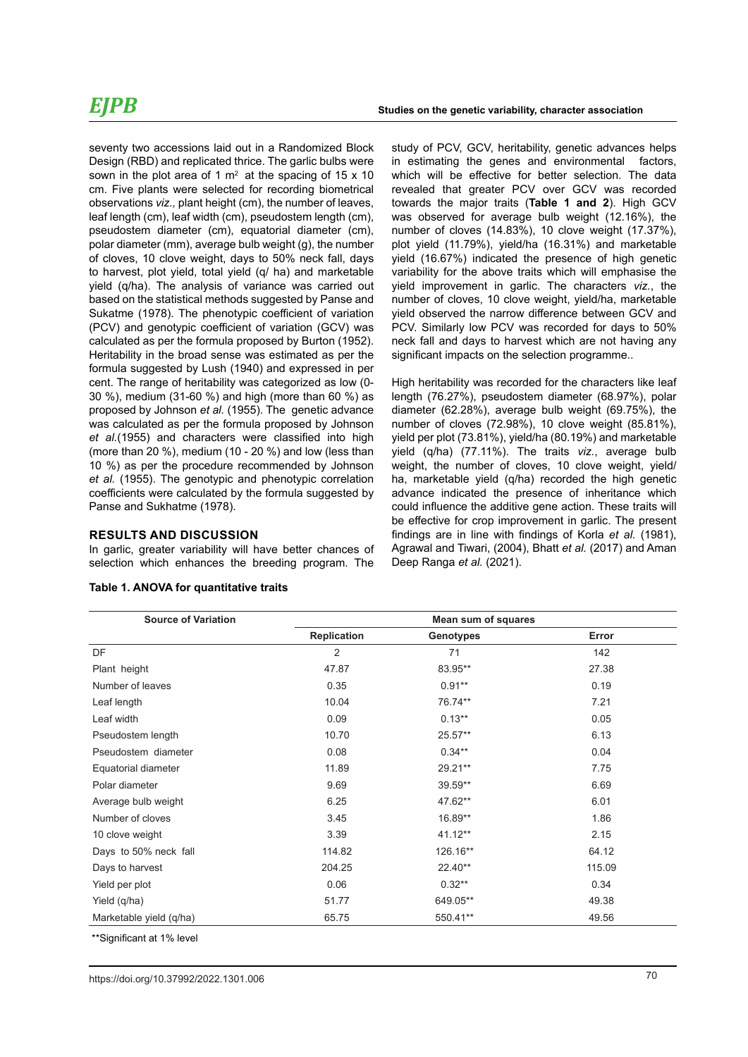seventy two accessions laid out in a Randomized Block Design (RBD) and replicated thrice. The garlic bulbs were sown in the plot area of 1  $m<sup>2</sup>$  at the spacing of 15 x 10 cm. Five plants were selected for recording biometrical observations *viz.,* plant height (cm), the number of leaves, leaf length (cm), leaf width (cm), pseudostem length (cm), pseudostem diameter (cm), equatorial diameter (cm), polar diameter (mm), average bulb weight (g), the number of cloves, 10 clove weight, days to 50% neck fall, days to harvest, plot yield, total yield (q/ ha) and marketable yield (q/ha). The analysis of variance was carried out based on the statistical methods suggested by Panse and Sukatme (1978). The phenotypic coefficient of variation (PCV) and genotypic coefficient of variation (GCV) was calculated as per the formula proposed by Burton (1952). Heritability in the broad sense was estimated as per the formula suggested by Lush (1940) and expressed in per cent. The range of heritability was categorized as low (0- 30 %), medium (31-60 %) and high (more than 60 %) as proposed by Johnson *et al.* (1955). The genetic advance was calculated as per the formula proposed by Johnson *et al.*(1955) and characters were classified into high (more than 20 %), medium (10 - 20 %) and low (less than 10 %) as per the procedure recommended by Johnson *et al.* (1955). The genotypic and phenotypic correlation coefficients were calculated by the formula suggested by Panse and Sukhatme (1978).

#### **RESULTS AND DISCUSSION**

In garlic, greater variability will have better chances of selection which enhances the breeding program. The

| <b>Source of Variation</b> | Mean sum of squares |           |        |  |  |  |  |
|----------------------------|---------------------|-----------|--------|--|--|--|--|
|                            | <b>Replication</b>  | Genotypes | Error  |  |  |  |  |
| DF                         | 2                   | 71        | 142    |  |  |  |  |
| Plant height               | 47.87               | 83.95**   | 27.38  |  |  |  |  |
| Number of leaves           | 0.35                | $0.91**$  | 0.19   |  |  |  |  |
| Leaf length                | 10.04               | 76.74**   | 7.21   |  |  |  |  |
| Leaf width                 | 0.09                | $0.13**$  | 0.05   |  |  |  |  |
| Pseudostem length          | 10.70               | $25.57**$ | 6.13   |  |  |  |  |
| Pseudostem diameter        | 0.08                | $0.34**$  | 0.04   |  |  |  |  |
| Equatorial diameter        | 11.89               | 29.21**   | 7.75   |  |  |  |  |
| Polar diameter             | 9.69                | 39.59**   | 6.69   |  |  |  |  |
| Average bulb weight        | 6.25                | 47.62**   | 6.01   |  |  |  |  |
| Number of cloves           | 3.45                | 16.89**   | 1.86   |  |  |  |  |
| 10 clove weight            | 3.39                | 41.12**   | 2.15   |  |  |  |  |
| Days to 50% neck fall      | 114.82              | 126.16**  | 64.12  |  |  |  |  |
| Days to harvest            | 204.25              | $22.40**$ | 115.09 |  |  |  |  |
| Yield per plot             | 0.06                | $0.32**$  | 0.34   |  |  |  |  |
| Yield (q/ha)               | 51.77               | 649.05**  | 49.38  |  |  |  |  |
| Marketable yield (q/ha)    | 65.75               | 550.41**  | 49.56  |  |  |  |  |

#### **Table 1. ANOVA for quantitative traits**

study of PCV, GCV, heritability, genetic advances helps in estimating the genes and environmental factors, which will be effective for better selection. The data revealed that greater PCV over GCV was recorded towards the major traits (**Table 1 and 2**). High GCV was observed for average bulb weight (12.16%), the number of cloves (14.83%), 10 clove weight (17.37%), plot yield (11.79%), yield/ha (16.31%) and marketable yield (16.67%) indicated the presence of high genetic variability for the above traits which will emphasise the yield improvement in garlic. The characters *viz.*, the number of cloves, 10 clove weight, yield/ha, marketable yield observed the narrow difference between GCV and PCV. Similarly low PCV was recorded for days to 50% neck fall and days to harvest which are not having any significant impacts on the selection programme..

High heritability was recorded for the characters like leaf length (76.27%), pseudostem diameter (68.97%), polar diameter (62.28%), average bulb weight (69.75%), the number of cloves (72.98%), 10 clove weight (85.81%), yield per plot (73.81%), yield/ha (80.19%) and marketable yield (q/ha) (77.11%). The traits *viz.*, average bulb weight, the number of cloves, 10 clove weight, yield/ ha, marketable yield (q/ha) recorded the high genetic advance indicated the presence of inheritance which could influence the additive gene action. These traits will be effective for crop improvement in garlic. The present findings are in line with findings of Korla *et al.* (1981), Agrawal and Tiwari, (2004), Bhatt *et al.* (2017) and Aman Deep Ranga *et al.* (2021).

\*\*Significant at 1% level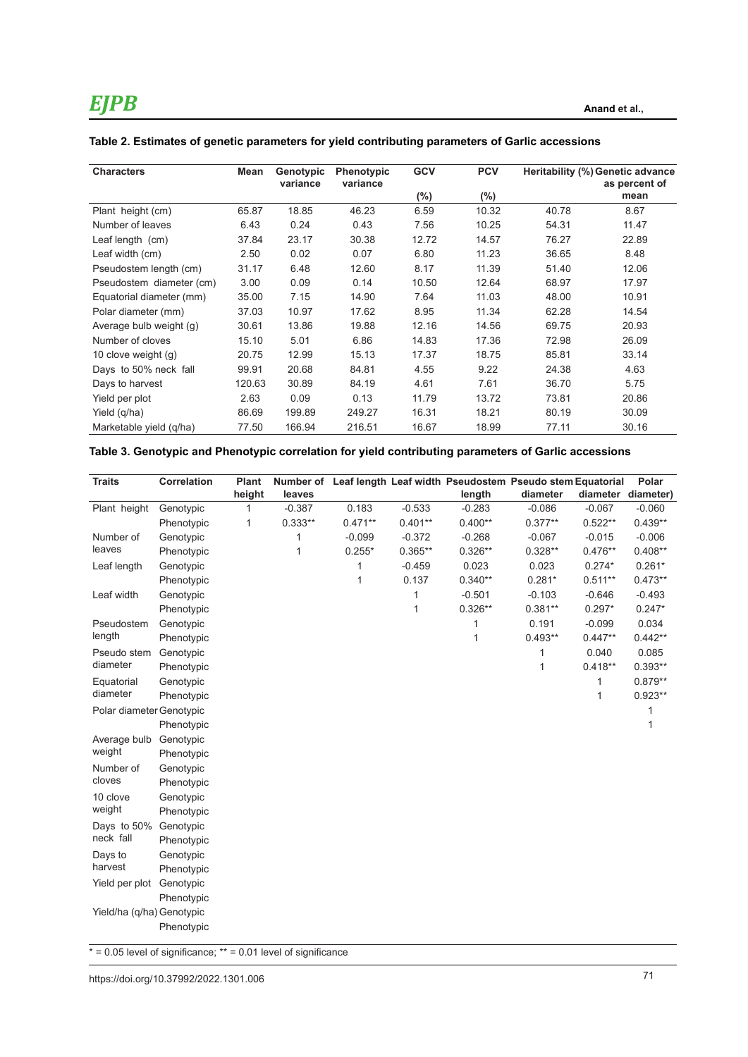| <b>Characters</b>        | Mean   | Genotypic<br>variance | <b>Phenotypic</b><br>variance | <b>GCV</b> | <b>PCV</b> | Heritability (%) Genetic advance<br>as percent of |       |
|--------------------------|--------|-----------------------|-------------------------------|------------|------------|---------------------------------------------------|-------|
|                          |        |                       |                               | $(\% )$    | $(\%)$     |                                                   | mean  |
| Plant height (cm)        | 65.87  | 18.85                 | 46.23                         | 6.59       | 10.32      | 40.78                                             | 8.67  |
| Number of leaves         | 6.43   | 0.24                  | 0.43                          | 7.56       | 10.25      | 54.31                                             | 11.47 |
| Leaf length (cm)         | 37.84  | 23.17                 | 30.38                         | 12.72      | 14.57      | 76.27                                             | 22.89 |
| Leaf width (cm)          | 2.50   | 0.02                  | 0.07                          | 6.80       | 11.23      | 36.65                                             | 8.48  |
| Pseudostem length (cm)   | 31.17  | 6.48                  | 12.60                         | 8.17       | 11.39      | 51.40                                             | 12.06 |
| Pseudostem diameter (cm) | 3.00   | 0.09                  | 0.14                          | 10.50      | 12.64      | 68.97                                             | 17.97 |
| Equatorial diameter (mm) | 35.00  | 7.15                  | 14.90                         | 7.64       | 11.03      | 48.00                                             | 10.91 |
| Polar diameter (mm)      | 37.03  | 10.97                 | 17.62                         | 8.95       | 11.34      | 62.28                                             | 14.54 |
| Average bulb weight (g)  | 30.61  | 13.86                 | 19.88                         | 12.16      | 14.56      | 69.75                                             | 20.93 |
| Number of cloves         | 15.10  | 5.01                  | 6.86                          | 14.83      | 17.36      | 72.98                                             | 26.09 |
| 10 clove weight $(g)$    | 20.75  | 12.99                 | 15.13                         | 17.37      | 18.75      | 85.81                                             | 33.14 |
| Days to 50% neck fall    | 99.91  | 20.68                 | 84.81                         | 4.55       | 9.22       | 24.38                                             | 4.63  |
| Days to harvest          | 120.63 | 30.89                 | 84.19                         | 4.61       | 7.61       | 36.70                                             | 5.75  |
| Yield per plot           | 2.63   | 0.09                  | 0.13                          | 11.79      | 13.72      | 73.81                                             | 20.86 |
| Yield (q/ha)             | 86.69  | 199.89                | 249.27                        | 16.31      | 18.21      | 80.19                                             | 30.09 |
| Marketable yield (q/ha)  | 77.50  | 166.94                | 216.51                        | 16.67      | 18.99      | 77.11                                             | 30.16 |

### **Table 2. Estimates of genetic parameters for yield contributing parameters of Garlic accessions**

### **Table 3. Genotypic and Phenotypic correlation for yield contributing parameters of Garlic accessions**

| <b>Traits</b>             | <b>Correlation</b> | Plant<br>height | leaves    |           |           | Number of Leaf length Leaf width Pseudostem Pseudo stem Equatorial<br>length | diameter  |              | Polar<br>diameter diameter) |
|---------------------------|--------------------|-----------------|-----------|-----------|-----------|------------------------------------------------------------------------------|-----------|--------------|-----------------------------|
| Plant height              | Genotypic          | 1               | $-0.387$  | 0.183     | $-0.533$  | $-0.283$                                                                     | $-0.086$  | $-0.067$     | $-0.060$                    |
|                           | Phenotypic         | 1               | $0.333**$ | $0.471**$ | $0.401**$ | $0.400**$                                                                    | $0.377**$ | $0.522**$    | $0.439**$                   |
| Number of                 | Genotypic          |                 | 1         | $-0.099$  | $-0.372$  | $-0.268$                                                                     | $-0.067$  | $-0.015$     | $-0.006$                    |
| leaves                    | Phenotypic         |                 | 1         | $0.255*$  | $0.365**$ | $0.326**$                                                                    | $0.328**$ | $0.476**$    | $0.408**$                   |
| Leaf length               | Genotypic          |                 |           | 1         | $-0.459$  | 0.023                                                                        | 0.023     | $0.274*$     | $0.261*$                    |
|                           | Phenotypic         |                 |           | 1         | 0.137     | $0.340**$                                                                    | $0.281*$  | $0.511**$    | $0.473**$                   |
| Leaf width                | Genotypic          |                 |           |           | 1         | $-0.501$                                                                     | $-0.103$  | $-0.646$     | $-0.493$                    |
|                           | Phenotypic         |                 |           |           | 1         | $0.326**$                                                                    | $0.381**$ | $0.297*$     | $0.247*$                    |
| Pseudostem                | Genotypic          |                 |           |           |           | 1                                                                            | 0.191     | $-0.099$     | 0.034                       |
| length                    | Phenotypic         |                 |           |           |           | 1                                                                            | $0.493**$ | $0.447**$    | $0.442**$                   |
| Pseudo stem               | Genotypic          |                 |           |           |           |                                                                              | 1         | 0.040        | 0.085                       |
| diameter                  | Phenotypic         |                 |           |           |           |                                                                              | 1         | $0.418**$    | $0.393**$                   |
| Equatorial                | Genotypic          |                 |           |           |           |                                                                              |           | 1            | $0.879**$                   |
| diameter                  | Phenotypic         |                 |           |           |           |                                                                              |           | $\mathbf{1}$ | $0.923**$                   |
| Polar diameter Genotypic  |                    |                 |           |           |           |                                                                              |           |              | 1                           |
|                           | Phenotypic         |                 |           |           |           |                                                                              |           |              | 1                           |
| Average bulb              | Genotypic          |                 |           |           |           |                                                                              |           |              |                             |
| weight                    | Phenotypic         |                 |           |           |           |                                                                              |           |              |                             |
| Number of                 | Genotypic          |                 |           |           |           |                                                                              |           |              |                             |
| cloves                    | Phenotypic         |                 |           |           |           |                                                                              |           |              |                             |
| 10 clove                  | Genotypic          |                 |           |           |           |                                                                              |           |              |                             |
| weight                    | Phenotypic         |                 |           |           |           |                                                                              |           |              |                             |
| Days to 50%               | Genotypic          |                 |           |           |           |                                                                              |           |              |                             |
| neck fall                 | Phenotypic         |                 |           |           |           |                                                                              |           |              |                             |
| Days to                   | Genotypic          |                 |           |           |           |                                                                              |           |              |                             |
| harvest                   | Phenotypic         |                 |           |           |           |                                                                              |           |              |                             |
| Yield per plot            | Genotypic          |                 |           |           |           |                                                                              |           |              |                             |
|                           | Phenotypic         |                 |           |           |           |                                                                              |           |              |                             |
| Yield/ha (q/ha) Genotypic |                    |                 |           |           |           |                                                                              |           |              |                             |
|                           | Phenotypic         |                 |           |           |           |                                                                              |           |              |                             |

 $* = 0.05$  level of significance;  $** = 0.01$  level of significance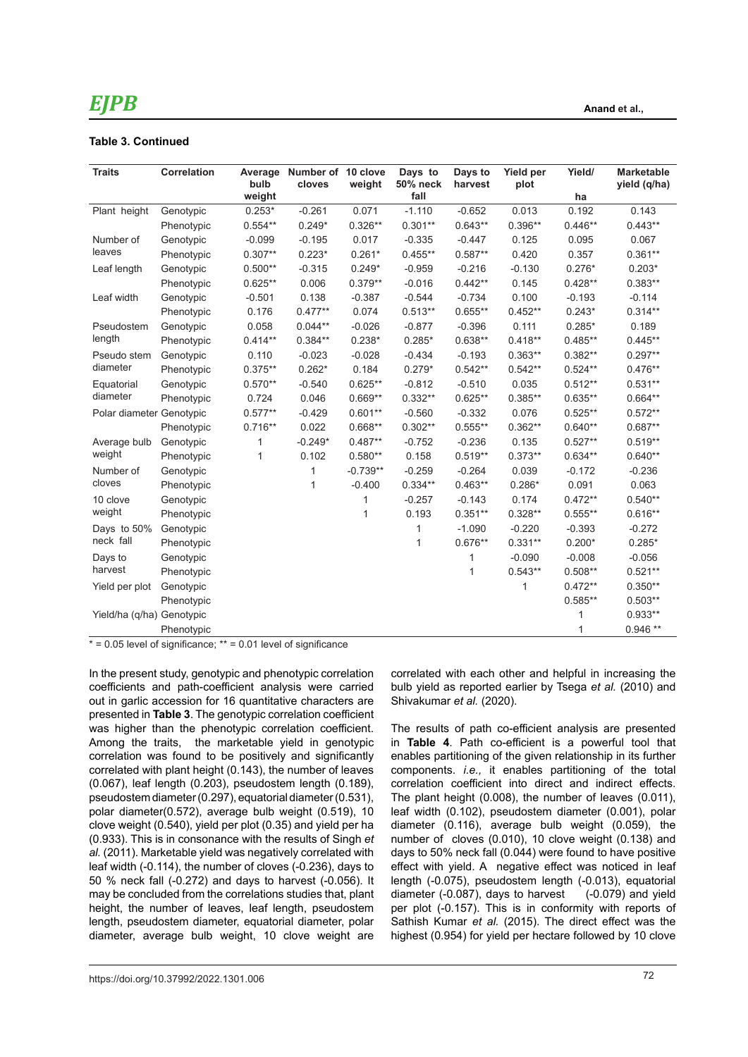### **Table 3. Continued**

| <b>Traits</b>             | <b>Correlation</b> | bulb         | Average Number of 10 clove<br>cloves | weight     | Days to<br>50% neck | Days to<br>harvest | Yield per<br>plot | Yield/    | <b>Marketable</b><br>yield (q/ha) |
|---------------------------|--------------------|--------------|--------------------------------------|------------|---------------------|--------------------|-------------------|-----------|-----------------------------------|
|                           |                    | weight       |                                      |            | fall                |                    |                   | ha        |                                   |
| Plant height              | Genotypic          | $0.253*$     | $-0.261$                             | 0.071      | $-1.110$            | $-0.652$           | 0.013             | 0.192     | 0.143                             |
|                           | Phenotypic         | $0.554**$    | $0.249*$                             | $0.326**$  | $0.301**$           | $0.643**$          | $0.396**$         | $0.446**$ | $0.443**$                         |
| Number of                 | Genotypic          | $-0.099$     | $-0.195$                             | 0.017      | $-0.335$            | $-0.447$           | 0.125             | 0.095     | 0.067                             |
| leaves                    | Phenotypic         | $0.307**$    | $0.223*$                             | $0.261*$   | $0.455**$           | $0.587**$          | 0.420             | 0.357     | $0.361**$                         |
| Leaf length               | Genotypic          | $0.500**$    | $-0.315$                             | $0.249*$   | $-0.959$            | $-0.216$           | $-0.130$          | $0.276*$  | $0.203*$                          |
|                           | Phenotypic         | $0.625**$    | 0.006                                | $0.379**$  | $-0.016$            | $0.442**$          | 0.145             | $0.428**$ | $0.383**$                         |
| Leaf width                | Genotypic          | $-0.501$     | 0.138                                | $-0.387$   | $-0.544$            | $-0.734$           | 0.100             | $-0.193$  | $-0.114$                          |
|                           | Phenotypic         | 0.176        | $0.477**$                            | 0.074      | $0.513**$           | $0.655**$          | $0.452**$         | $0.243*$  | $0.314**$                         |
| Pseudostem                | Genotypic          | 0.058        | $0.044**$                            | $-0.026$   | $-0.877$            | $-0.396$           | 0.111             | $0.285*$  | 0.189                             |
| length                    | Phenotypic         | $0.414**$    | $0.384**$                            | $0.238*$   | $0.285*$            | $0.638**$          | $0.418**$         | $0.485**$ | $0.445**$                         |
| Pseudo stem               | Genotypic          | 0.110        | $-0.023$                             | $-0.028$   | $-0.434$            | $-0.193$           | $0.363**$         | $0.382**$ | $0.297**$                         |
| diameter                  | Phenotypic         | $0.375**$    | $0.262*$                             | 0.184      | $0.279*$            | $0.542**$          | $0.542**$         | $0.524**$ | $0.476**$                         |
| Equatorial                | Genotypic          | $0.570**$    | $-0.540$                             | $0.625**$  | $-0.812$            | $-0.510$           | 0.035             | $0.512**$ | $0.531**$                         |
| diameter                  | Phenotypic         | 0.724        | 0.046                                | $0.669**$  | $0.332**$           | $0.625**$          | $0.385**$         | $0.635**$ | $0.664**$                         |
| Polar diameter Genotypic  |                    | $0.577**$    | $-0.429$                             | $0.601**$  | $-0.560$            | $-0.332$           | 0.076             | $0.525**$ | $0.572**$                         |
|                           | Phenotypic         | $0.716**$    | 0.022                                | $0.668**$  | $0.302**$           | $0.555**$          | $0.362**$         | $0.640**$ | $0.687**$                         |
| Average bulb              | Genotypic          | 1            | $-0.249*$                            | $0.487**$  | $-0.752$            | $-0.236$           | 0.135             | $0.527**$ | $0.519**$                         |
| weight                    | Phenotypic         | $\mathbf{1}$ | 0.102                                | $0.580**$  | 0.158               | $0.519**$          | $0.373**$         | $0.634**$ | $0.640**$                         |
| Number of                 | Genotypic          |              | 1                                    | $-0.739**$ | $-0.259$            | $-0.264$           | 0.039             | $-0.172$  | $-0.236$                          |
| cloves                    | Phenotypic         |              | 1                                    | $-0.400$   | $0.334**$           | $0.463**$          | $0.286*$          | 0.091     | 0.063                             |
| 10 clove                  | Genotypic          |              |                                      | 1          | $-0.257$            | $-0.143$           | 0.174             | $0.472**$ | $0.540**$                         |
| weight                    | Phenotypic         |              |                                      | 1          | 0.193               | $0.351**$          | $0.328**$         | $0.555**$ | $0.616**$                         |
| Days to 50%               | Genotypic          |              |                                      |            | 1                   | $-1.090$           | $-0.220$          | $-0.393$  | $-0.272$                          |
| neck fall                 | Phenotypic         |              |                                      |            | 1                   | $0.676**$          | $0.331**$         | $0.200*$  | $0.285*$                          |
| Days to                   | Genotypic          |              |                                      |            |                     | 1                  | $-0.090$          | $-0.008$  | $-0.056$                          |
| harvest                   | Phenotypic         |              |                                      |            |                     | 1                  | $0.543**$         | $0.508**$ | $0.521**$                         |
| Yield per plot            | Genotypic          |              |                                      |            |                     |                    | 1                 | $0.472**$ | $0.350**$                         |
|                           | Phenotypic         |              |                                      |            |                     |                    |                   | $0.585**$ | $0.503**$                         |
| Yield/ha (q/ha) Genotypic |                    |              |                                      |            |                     |                    |                   | 1         | $0.933**$                         |
|                           | Phenotypic         | 0.011        |                                      |            |                     |                    |                   | 1         | $0.946**$                         |

 $* = 0.05$  level of significance;  $** = 0.01$  level of significance

In the present study, genotypic and phenotypic correlation coefficients and path-coefficient analysis were carried out in garlic accession for 16 quantitative characters are presented in **Table 3**. The genotypic correlation coefficient was higher than the phenotypic correlation coefficient. Among the traits, the marketable yield in genotypic correlation was found to be positively and significantly correlated with plant height (0.143), the number of leaves (0.067), leaf length (0.203), pseudostem length (0.189), pseudostem diameter (0.297), equatorial diameter (0.531), polar diameter(0.572), average bulb weight (0.519), 10 clove weight (0.540), yield per plot (0.35) and yield per ha (0.933). This is in consonance with the results of Singh *et al.* (2011). Marketable yield was negatively correlated with leaf width (-0.114), the number of cloves (-0.236), days to 50 % neck fall (-0.272) and days to harvest (-0.056). It may be concluded from the correlations studies that, plant height, the number of leaves, leaf length, pseudostem length, pseudostem diameter, equatorial diameter, polar diameter, average bulb weight, 10 clove weight are

correlated with each other and helpful in increasing the bulb yield as reported earlier by Tsega *et al.* (2010) and Shivakumar *et al.* (2020).

The results of path co-efficient analysis are presented in **Table 4**. Path co-efficient is a powerful tool that enables partitioning of the given relationship in its further components. *i.e.,* it enables partitioning of the total correlation coefficient into direct and indirect effects. The plant height (0.008), the number of leaves (0.011), leaf width (0.102), pseudostem diameter (0.001), polar diameter (0.116), average bulb weight (0.059), the number of cloves (0.010), 10 clove weight (0.138) and days to 50% neck fall (0.044) were found to have positive effect with yield. A negative effect was noticed in leaf length (-0.075), pseudostem length (-0.013), equatorial diameter (-0.087), days to harvest (-0.079) and yield per plot (-0.157). This is in conformity with reports of Sathish Kumar *et al.* (2015). The direct effect was the highest (0.954) for yield per hectare followed by 10 clove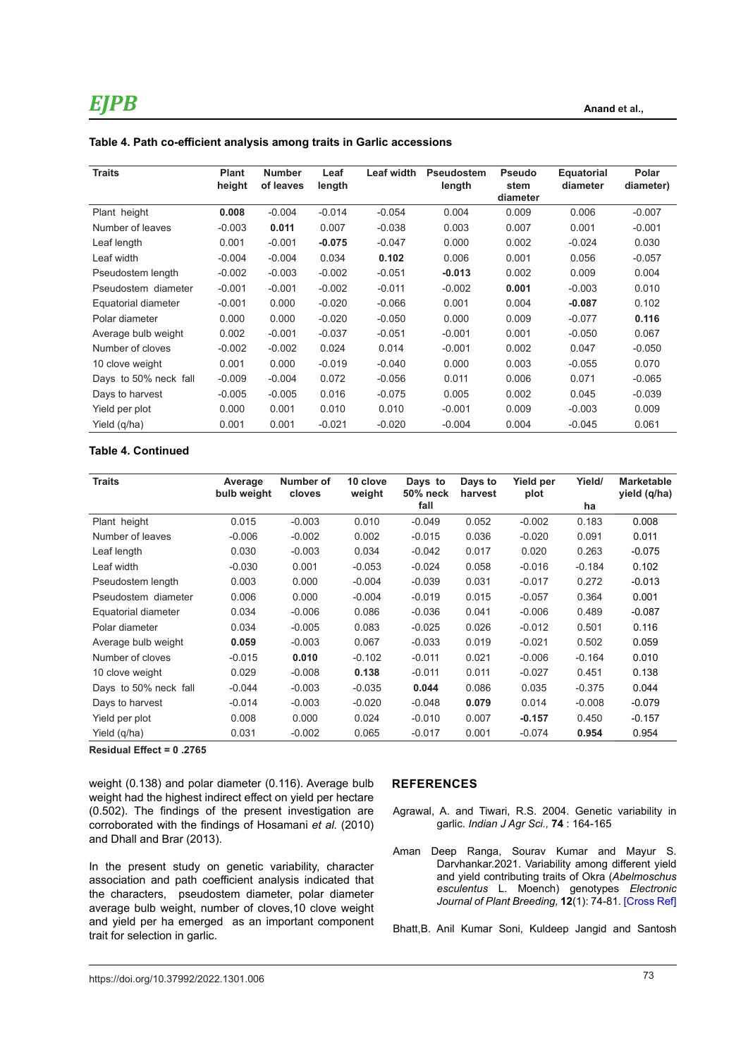| <b>Traits</b>         | <b>Plant</b><br>height | <b>Number</b><br>of leaves | Leaf<br>length | <b>Leaf width</b> | Pseudostem<br>length | <b>Pseudo</b><br>stem<br>diameter | <b>Equatorial</b><br>diameter | Polar<br>diameter) |
|-----------------------|------------------------|----------------------------|----------------|-------------------|----------------------|-----------------------------------|-------------------------------|--------------------|
| Plant height          | 0.008                  | $-0.004$                   | $-0.014$       | $-0.054$          | 0.004                | 0.009                             | 0.006                         | $-0.007$           |
| Number of leaves      | $-0.003$               | 0.011                      | 0.007          | $-0.038$          | 0.003                | 0.007                             | 0.001                         | $-0.001$           |
| Leaf length           | 0.001                  | $-0.001$                   | $-0.075$       | $-0.047$          | 0.000                | 0.002                             | -0.024                        | 0.030              |
| Leaf width            | $-0.004$               | $-0.004$                   | 0.034          | 0.102             | 0.006                | 0.001                             | 0.056                         | $-0.057$           |
| Pseudostem length     | $-0.002$               | $-0.003$                   | $-0.002$       | $-0.051$          | $-0.013$             | 0.002                             | 0.009                         | 0.004              |
| Pseudostem diameter   | $-0.001$               | $-0.001$                   | $-0.002$       | $-0.011$          | $-0.002$             | 0.001                             | $-0.003$                      | 0.010              |
| Equatorial diameter   | $-0.001$               | 0.000                      | $-0.020$       | $-0.066$          | 0.001                | 0.004                             | $-0.087$                      | 0.102              |
| Polar diameter        | 0.000                  | 0.000                      | $-0.020$       | $-0.050$          | 0.000                | 0.009                             | $-0.077$                      | 0.116              |
| Average bulb weight   | 0.002                  | $-0.001$                   | $-0.037$       | $-0.051$          | $-0.001$             | 0.001                             | $-0.050$                      | 0.067              |
| Number of cloves      | $-0.002$               | $-0.002$                   | 0.024          | 0.014             | $-0.001$             | 0.002                             | 0.047                         | $-0.050$           |
| 10 clove weight       | 0.001                  | 0.000                      | $-0.019$       | $-0.040$          | 0.000                | 0.003                             | $-0.055$                      | 0.070              |
| Days to 50% neck fall | $-0.009$               | $-0.004$                   | 0.072          | $-0.056$          | 0.011                | 0.006                             | 0.071                         | $-0.065$           |
| Days to harvest       | $-0.005$               | $-0.005$                   | 0.016          | $-0.075$          | 0.005                | 0.002                             | 0.045                         | $-0.039$           |
| Yield per plot        | 0.000                  | 0.001                      | 0.010          | 0.010             | $-0.001$             | 0.009                             | -0.003                        | 0.009              |
| Yield (q/ha)          | 0.001                  | 0.001                      | $-0.021$       | $-0.020$          | $-0.004$             | 0.004                             | $-0.045$                      | 0.061              |
|                       |                        |                            |                |                   |                      |                                   |                               |                    |

**Table 4. Path co-efficient analysis among traits in Garlic accessions** 

### **Table 4. Continued**

| <b>Traits</b>         | Average<br>bulb weight | Number of<br>cloves | 10 clove<br>weight | Days to<br>50% neck | Days to<br>harvest | Yield per<br>plot | Yield/   | <b>Marketable</b><br>yield (q/ha) |
|-----------------------|------------------------|---------------------|--------------------|---------------------|--------------------|-------------------|----------|-----------------------------------|
|                       |                        |                     |                    | fall                |                    |                   | ha       |                                   |
| Plant height          | 0.015                  | $-0.003$            | 0.010              | $-0.049$            | 0.052              | $-0.002$          | 0.183    | 0.008                             |
| Number of leaves      | $-0.006$               | $-0.002$            | 0.002              | $-0.015$            | 0.036              | $-0.020$          | 0.091    | 0.011                             |
| Leaf length           | 0.030                  | $-0.003$            | 0.034              | $-0.042$            | 0.017              | 0.020             | 0.263    | $-0.075$                          |
| Leaf width            | $-0.030$               | 0.001               | $-0.053$           | $-0.024$            | 0.058              | $-0.016$          | $-0.184$ | 0.102                             |
| Pseudostem length     | 0.003                  | 0.000               | $-0.004$           | $-0.039$            | 0.031              | $-0.017$          | 0.272    | $-0.013$                          |
| Pseudostem diameter   | 0.006                  | 0.000               | $-0.004$           | $-0.019$            | 0.015              | $-0.057$          | 0.364    | 0.001                             |
| Equatorial diameter   | 0.034                  | $-0.006$            | 0.086              | $-0.036$            | 0.041              | $-0.006$          | 0.489    | $-0.087$                          |
| Polar diameter        | 0.034                  | $-0.005$            | 0.083              | $-0.025$            | 0.026              | $-0.012$          | 0.501    | 0.116                             |
| Average bulb weight   | 0.059                  | $-0.003$            | 0.067              | $-0.033$            | 0.019              | $-0.021$          | 0.502    | 0.059                             |
| Number of cloves      | $-0.015$               | 0.010               | $-0.102$           | $-0.011$            | 0.021              | $-0.006$          | $-0.164$ | 0.010                             |
| 10 clove weight       | 0.029                  | $-0.008$            | 0.138              | $-0.011$            | 0.011              | $-0.027$          | 0.451    | 0.138                             |
| Days to 50% neck fall | $-0.044$               | $-0.003$            | $-0.035$           | 0.044               | 0.086              | 0.035             | $-0.375$ | 0.044                             |
| Days to harvest       | $-0.014$               | $-0.003$            | $-0.020$           | $-0.048$            | 0.079              | 0.014             | $-0.008$ | $-0.079$                          |
| Yield per plot        | 0.008                  | 0.000               | 0.024              | $-0.010$            | 0.007              | $-0.157$          | 0.450    | $-0.157$                          |
| Yield (q/ha)          | 0.031                  | $-0.002$            | 0.065              | $-0.017$            | 0.001              | $-0.074$          | 0.954    | 0.954                             |

**Residual Effect = 0 .2765**

weight (0.138) and polar diameter (0.116). Average bulb weight had the highest indirect effect on yield per hectare (0.502). The findings of the present investigation are corroborated with the findings of Hosamani *et al.* (2010) and Dhall and Brar (2013).

In the present study on genetic variability, character association and path coefficient analysis indicated that the characters, pseudostem diameter, polar diameter average bulb weight, number of cloves,10 clove weight and yield per ha emerged as an important component trait for selection in garlic.

### **REFERENCES**

- Agrawal, A. and Tiwari, R.S. 2004. Genetic variability in garlic. *Indian J Agr Sci.,* **74** : 164-165
- Aman Deep Ranga, Sourav Kumar and Mayur S. Darvhankar.2021. Variability among different yield and yield contributing traits of Okra (*Abelmoschus esculentus* L. Moench) genotypes *Electronic Journal of Plant Breeding,* **12**(1): 74-81. [\[Cross Ref\]](https://doi.org/10.37992/2021.1201.011)

Bhatt,B. Anil Kumar Soni, Kuldeep Jangid and Santosh